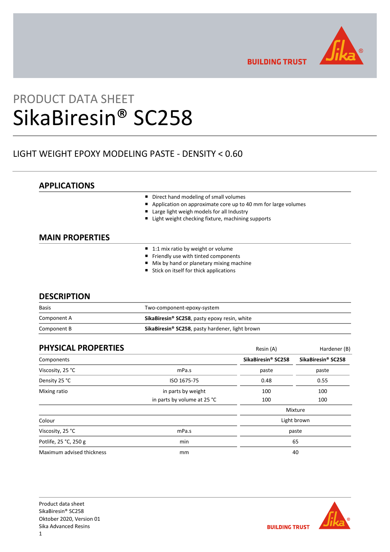

**BUILDING TRUST** 

# PRODUCT DATA SHEET SikaBiresin® SC258

# LIGHT WEIGHT EPOXY MODELING PASTE - DENSITY < 0.60

# **APPLICATIONS**

- Direct hand modeling of small volumes
- Application on approximate core up to 40 mm for large volumes
- Large light weigh models for all Industry
- Light weight checking fixture, machining supports

# **MAIN PROPERTIES**

- $\blacksquare$  1:1 mix ratio by weight or volume
- Friendly use with tinted components
- **Mix by hand or planetary mixing machine**
- $\blacksquare$  Stick on itself for thick applications

# **DESCRIPTION**

| <b>Basis</b> | Two-component-epoxy-system                                         |  |
|--------------|--------------------------------------------------------------------|--|
| Component A  | SikaBiresin <sup>®</sup> SC258, pasty epoxy resin, white           |  |
| Component B  | <b>SikaBiresin<sup>®</sup> SC258</b> , pasty hardener, light brown |  |

| <b>PHYSICAL PROPERTIES</b> |                             | Resin (A)          | Hardener (B)       |  |
|----------------------------|-----------------------------|--------------------|--------------------|--|
| Components                 |                             | SikaBiresin® SC258 | SikaBiresin® SC258 |  |
| Viscosity, 25 °C           | mPa.s                       | paste              | paste              |  |
| Density 25 °C              | ISO 1675-75                 | 0.48               | 0.55               |  |
| Mixing ratio               | in parts by weight<br>100   |                    | 100                |  |
|                            | in parts by volume at 25 °C | 100                | 100                |  |
|                            |                             |                    | Mixture            |  |
| Colour                     |                             | Light brown        |                    |  |
| Viscosity, 25 °C           | mPa.s                       | paste              |                    |  |
| Potlife, 25 °C, 250 g      | min                         | 65                 |                    |  |
| Maximum advised thickness  | mm                          | 40                 |                    |  |

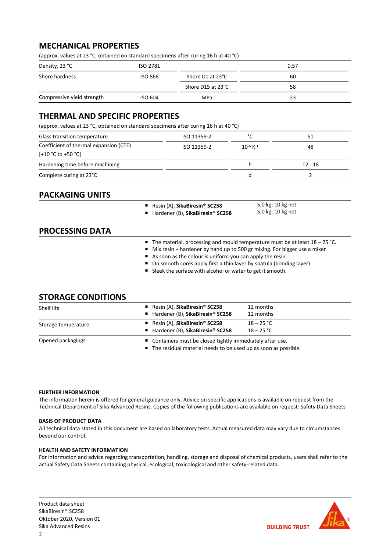# **MECHANICAL PROPERTIES**

(approx. values at 23 °C, obtained on standard specimens after curing 16 h at 40 °C)

| Density, 23 °C             | ISO 2781       |                   | 0.57 |
|----------------------------|----------------|-------------------|------|
| Shore hardness             | <b>ISO 868</b> | Shore D1 at 23°C  | 60   |
|                            |                | Shore D15 at 23°C | 58   |
| Compressive yield strength | ISO 604        | <b>MPa</b>        |      |

# **THERMAL AND SPECIFIC PROPERTIES**

(approx. values at 23 °C, obtained on standard specimens after curing 16 h at 40 °C)

| Glass transition temperature           | ISO 11359-2 | $\mathcal{C}$             | 51      |
|----------------------------------------|-------------|---------------------------|---------|
| Coefficient of thermal expansion (CTE) | ISO 11359-2 | $10^{-6}$ K <sup>-1</sup> | 48      |
| $[+10 °C$ to $+50 °C]$                 |             |                           |         |
| Hardening time before machining        |             |                           | 12 - 18 |
| Complete curing at 23°C                |             | a                         |         |

# **PACKAGING UNITS**

- Resin (A), **SikaBiresin<sup>®</sup> SC258** ■ Hardener (B), SikaBiresin<sup>®</sup> SC258
- 5,0 kg; 10 kg net 5,0 kg; 10 kg net

# **PROCESSING DATA**

- The material, processing and mould temperature must be at least 18 25 °C.
- Mix resin + hardener by hand up to 500 gr mixing. For bigger use a mixer
- As soon as the colour is uniform you can apply the resin.
- On smooth cores apply first a thin layer by spatula (bonding layer)
- Sleek the surface with alcohol or water to get it smooth.

# **STORAGE CONDITIONS**

| Shelf life          | Resin $(A)$ , SikaBiresin <sup>®</sup> SC258<br>■ Hardener (B), SikaBiresin® SC258                                             | 12 months<br>12 months       |  |
|---------------------|--------------------------------------------------------------------------------------------------------------------------------|------------------------------|--|
| Storage temperature | Resin $(A)$ , SikaBiresin <sup>®</sup> SC258<br>■ Hardener (B), SikaBiresin® SC258                                             | $18 - 25 °C$<br>$18 - 25 °C$ |  |
| Opened packagings   | ■ Containers must be closed tightly immediately after use.<br>■ The residual material needs to be used up as soon as possible. |                              |  |

# **FURTHER INFORMATION**

The information herein is offered for general guidance only. Advice on specific applications is available on request from the Technical Department of Sika Advanced Resins. Copies of the following publications are available on request: Safety Data Sheets

# **BASIS OF PRODUCT DATA**

All technical data stated in this document are based on laboratory tests. Actual measured data may vary due to circumstances beyond our control.

# **HEALTH AND SAFETY INFORMATION**

For information and advice regarding transportation, handling, storage and disposal of chemical products, users shall refer to the actual Safety Data Sheets containing physical, ecological, toxicological and other safety-related data.

Product data sheet SikaBiresin® SC258 Oktober 2020, Version 01 Sika Advanced Resins